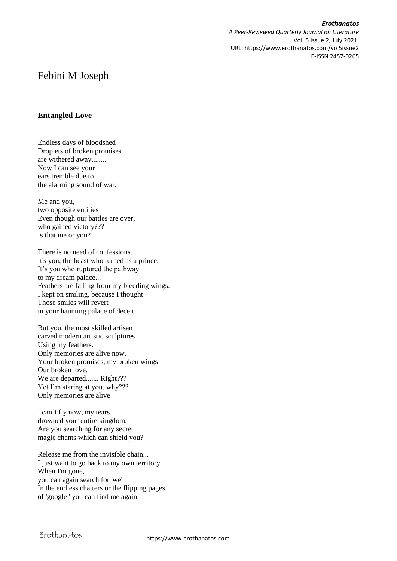*Erothanatos A Peer-Reviewed Quarterly Journal on Literature* Vol. 5 Issue 2, July 2021. URL: https://www.erothanatos.com/vol5issue2 E-ISSN 2457-0265

# Febini M Joseph

#### **Entangled Love**

Endless days of bloodshed Droplets of broken promises are withered away........ Now I can see your ears tremble due to the alarming sound of war.

Me and you, two opposite entities Even though our battles are over, who gained victory??? Is that me or you?

There is no need of confessions. It's you, the beast who turned as a prince, It's you who ruptured the pathway to my dream palace... Feathers are falling from my bleeding wings. I kept on smiling, because I thought Those smiles will revert in your haunting palace of deceit.

But you, the most skilled artisan carved modern artistic sculptures Using my feathers. Only memories are alive now. Your broken promises, my broken wings Our broken love. We are departed....... Right??? Yet I'm staring at you, why??? Only memories are alive

I can't fly now, my tears drowned your entire kingdom. Are you searching for any secret magic chants which can shield you?

Release me from the invisible chain... I just want to go back to my own territory When I'm gone, you can again search for 'we' In the endless chatters or the flipping pages of 'google ' you can find me again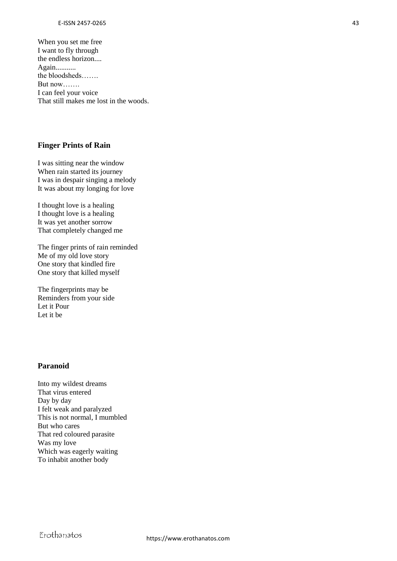When you set me free I want to fly through the endless horizon.... Again........... the bloodsheds……. But now……. I can feel your voice That still makes me lost in the woods.

#### **Finger Prints of Rain**

I was sitting near the window When rain started its journey I was in despair singing a melody It was about my longing for love

I thought love is a healing I thought love is a healing It was yet another sorrow That completely changed me

The finger prints of rain reminded Me of my old love story One story that kindled fire One story that killed myself

The fingerprints may be Reminders from your side Let it Pour Let it be

## **Paranoid**

Into my wildest dreams That virus entered Day by day I felt weak and paralyzed This is not normal, I mumbled But who cares That red coloured parasite Was my love Which was eagerly waiting To inhabit another body